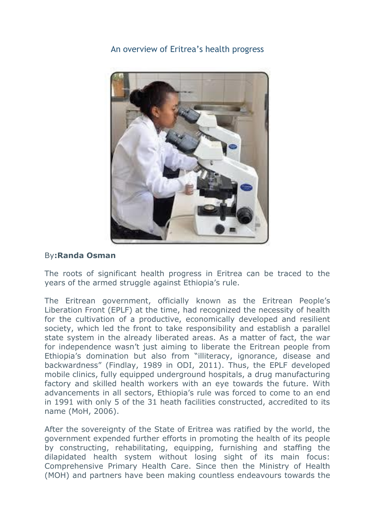An overview of Eritrea's [health progress](http://www.shabait.com/articles/nation-building/28487-an-overview-of-eritreas-health-progress-) 



## By**:Randa Osman**

The roots of significant health progress in Eritrea can be traced to the years of the armed struggle against Ethiopia's rule.

The Eritrean government, officially known as the Eritrean People's Liberation Front (EPLF) at the time, had recognized the necessity of health for the cultivation of a productive, economically developed and resilient society, which led the front to take responsibility and establish a parallel state system in the already liberated areas. As a matter of fact, the war for independence wasn't just aiming to liberate the Eritrean people from Ethiopia's domination but also from "illiteracy, ignorance, disease and backwardness" (Findlay, 1989 in ODI, 2011). Thus, the EPLF developed mobile clinics, fully equipped underground hospitals, a drug manufacturing factory and skilled health workers with an eye towards the future. With advancements in all sectors, Ethiopia's rule was forced to come to an end in 1991 with only 5 of the 31 heath facilities constructed, accredited to its name (MoH, 2006).

After the sovereignty of the State of Eritrea was ratified by the world, the government expended further efforts in promoting the health of its people by constructing, rehabilitating, equipping, furnishing and staffing the dilapidated health system without losing sight of its main focus: Comprehensive Primary Health Care. Since then the Ministry of Health (MOH) and partners have been making countless endeavours towards the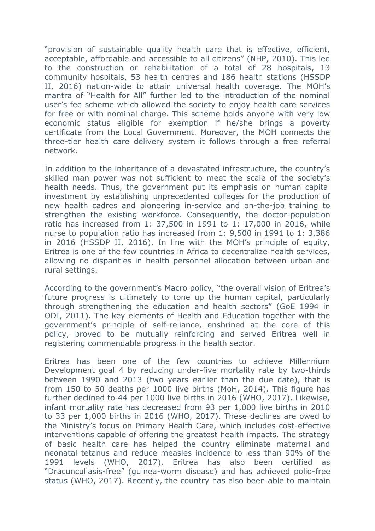"provision of sustainable quality health care that is effective, efficient, acceptable, affordable and accessible to all citizens" (NHP, 2010). This led to the construction or rehabilitation of a total of 28 hospitals, 13 community hospitals, 53 health centres and 186 health stations (HSSDP II, 2016) nation-wide to attain universal health coverage. The MOH's mantra of "Health for All" further led to the introduction of the nominal user's fee scheme which allowed the society to enjoy health care services for free or with nominal charge. This scheme holds anyone with very low economic status eligible for exemption if he/she brings a poverty certificate from the Local Government. Moreover, the MOH connects the three-tier health care delivery system it follows through a free referral network.

In addition to the inheritance of a devastated infrastructure, the country's skilled man power was not sufficient to meet the scale of the society's health needs. Thus, the government put its emphasis on human capital investment by establishing unprecedented colleges for the production of new health cadres and pioneering in-service and on-the-job training to strengthen the existing workforce. Consequently, the doctor-population ratio has increased from 1: 37,500 in 1991 to 1: 17,000 in 2016, while nurse to population ratio has increased from 1: 9,500 in 1991 to 1: 3,386 in 2016 (HSSDP II, 2016). In line with the MOH's principle of equity, Eritrea is one of the few countries in Africa to decentralize health services, allowing no disparities in health personnel allocation between urban and rural settings.

According to the government's Macro policy, "the overall vision of Eritrea's future progress is ultimately to tone up the human capital, particularly through strengthening the education and health sectors" (GoE 1994 in ODI, 2011). The key elements of Health and Education together with the government's principle of self-reliance, enshrined at the core of this policy, proved to be mutually reinforcing and served Eritrea well in registering commendable progress in the health sector.

Eritrea has been one of the few countries to achieve Millennium Development goal 4 by reducing under-five mortality rate by two-thirds between 1990 and 2013 (two years earlier than the due date), that is from 150 to 50 deaths per 1000 live births (MoH, 2014). This figure has further declined to 44 per 1000 live births in 2016 (WHO, 2017). Likewise, infant mortality rate has decreased from 93 per 1,000 live births in 2010 to 33 per 1,000 births in 2016 (WHO, 2017). These declines are owed to the Ministry's focus on Primary Health Care, which includes cost-effective interventions capable of offering the greatest health impacts. The strategy of basic health care has helped the country eliminate maternal and neonatal tetanus and reduce measles incidence to less than 90% of the 1991 levels (WHO, 2017). Eritrea has also been certified as "Dracunculiasis-free" (guinea-worm disease) and has achieved polio-free status (WHO, 2017). Recently, the country has also been able to maintain